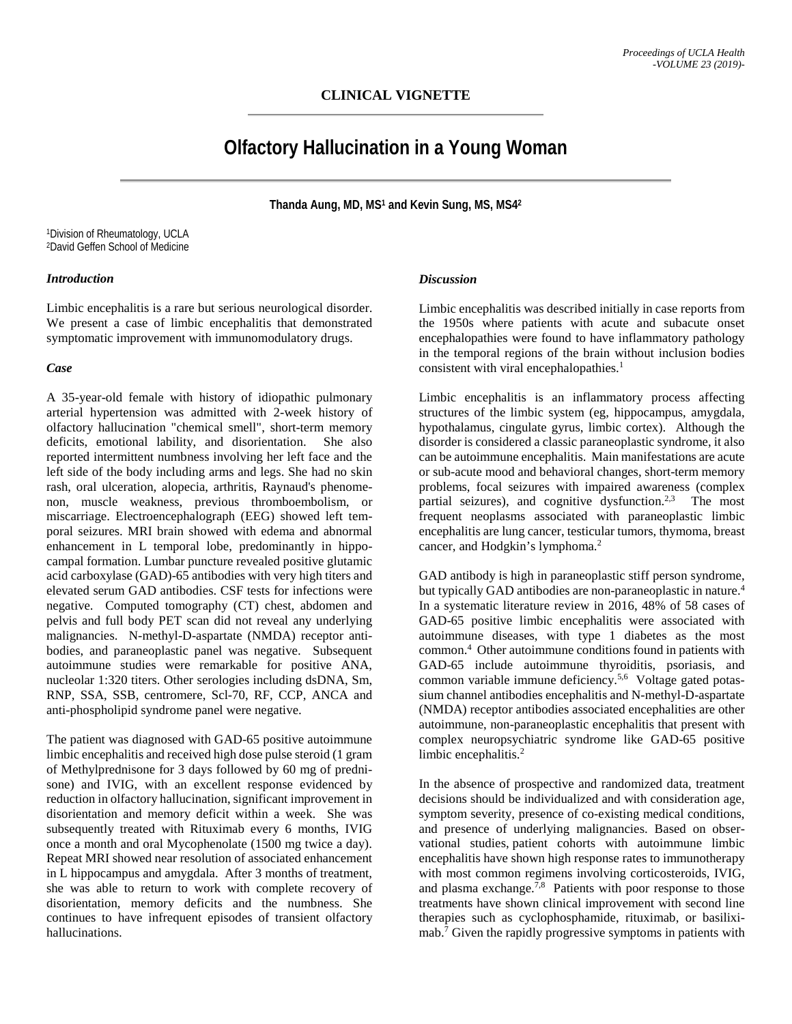# **Olfactory Hallucination in a Young Woman**

**Thanda Aung, MD, MS1 and Kevin Sung, MS, MS42**

1Division of Rheumatology, UCLA 2David Geffen School of Medicine

#### *Introduction*

Limbic encephalitis is a rare but serious neurological disorder. We present a case of limbic encephalitis that demonstrated symptomatic improvement with immunomodulatory drugs.

### *Case*

A 35-year-old female with history of idiopathic pulmonary arterial hypertension was admitted with 2-week history of olfactory hallucination "chemical smell", short-term memory deficits, emotional lability, and disorientation. She also reported intermittent numbness involving her left face and the left side of the body including arms and legs. She had no skin rash, oral ulceration, alopecia, arthritis, Raynaud's phenomenon, muscle weakness, previous thromboembolism, or miscarriage. Electroencephalograph (EEG) showed left temporal seizures. MRI brain showed with edema and abnormal enhancement in L temporal lobe, predominantly in hippocampal formation. Lumbar puncture revealed positive glutamic acid carboxylase (GAD)-65 antibodies with very high titers and elevated serum GAD antibodies. CSF tests for infections were negative. Computed tomography (CT) chest, abdomen and pelvis and full body PET scan did not reveal any underlying malignancies. N-methyl-D-aspartate (NMDA) receptor antibodies, and paraneoplastic panel was negative. Subsequent autoimmune studies were remarkable for positive ANA, nucleolar 1:320 titers. Other serologies including dsDNA, Sm, RNP, SSA, SSB, centromere, Scl-70, RF, CCP, ANCA and anti-phospholipid syndrome panel were negative.

The patient was diagnosed with GAD-65 positive autoimmune limbic encephalitis and received high dose pulse steroid (1 gram of Methylprednisone for 3 days followed by 60 mg of prednisone) and IVIG, with an excellent response evidenced by reduction in olfactory hallucination, significant improvement in disorientation and memory deficit within a week. She was subsequently treated with Rituximab every 6 months, IVIG once a month and oral Mycophenolate (1500 mg twice a day). Repeat MRI showed near resolution of associated enhancement in L hippocampus and amygdala. After 3 months of treatment, she was able to return to work with complete recovery of disorientation, memory deficits and the numbness. She continues to have infrequent episodes of transient olfactory hallucinations.

### *Discussion*

Limbic encephalitis was described initially in case reports from the 1950s where patients with acute and subacute onset encephalopathies were found to have inflammatory pathology in the temporal regions of the brain without inclusion bodies consistent with viral encephalopathies. 1

Limbic encephalitis is an inflammatory process affecting structures of the limbic system (eg, hippocampus, amygdala, hypothalamus, cingulate gyrus, limbic cortex). Although the disorder is considered a classic paraneoplastic syndrome, it also can be autoimmune encephalitis. Main manifestations are acute or sub-acute mood and behavioral changes, short-term memory problems, focal seizures with impaired awareness (complex partial seizures), and cognitive dysfunction.<sup>2,3</sup> The most frequent neoplasms associated with paraneoplastic limbic encephalitis are lung cancer, testicular tumors, thymoma, breast cancer, and Hodgkin's lymphoma. 2

GAD antibody is high in paraneoplastic stiff person syndrome, but typically GAD antibodies are non-paraneoplastic in nature. 4 In a systematic literature review in 2016, 48% of 58 cases of GAD-65 positive limbic encephalitis were associated with autoimmune diseases, with type 1 diabetes as the most common. 4 Other autoimmune conditions found in patients with GAD-65 include autoimmune thyroiditis, psoriasis, and common variable immune deficiency. 5,6 Voltage gated potassium channel antibodies encephalitis and N-methyl-D-aspartate (NMDA) receptor antibodies associated encephalities are other autoimmune, non-paraneoplastic encephalitis that present with complex neuropsychiatric syndrome like GAD-65 positive limbic encephalitis. 2

In the absence of prospective and randomized data, treatment decisions should be individualized and with consideration age, symptom severity, presence of co-existing medical conditions, and presence of underlying malignancies. Based on observational studies, patient cohorts with autoimmune limbic encephalitis have shown high response rates to immunotherapy with most common regimens involving corticosteroids, IVIG, and plasma exchange.<sup>7,8</sup> Patients with poor response to those treatments have shown clinical improvement with second line therapies such as cyclophosphamide, rituximab, or basiliximab. <sup>7</sup> Given the rapidly progressive symptoms in patients with